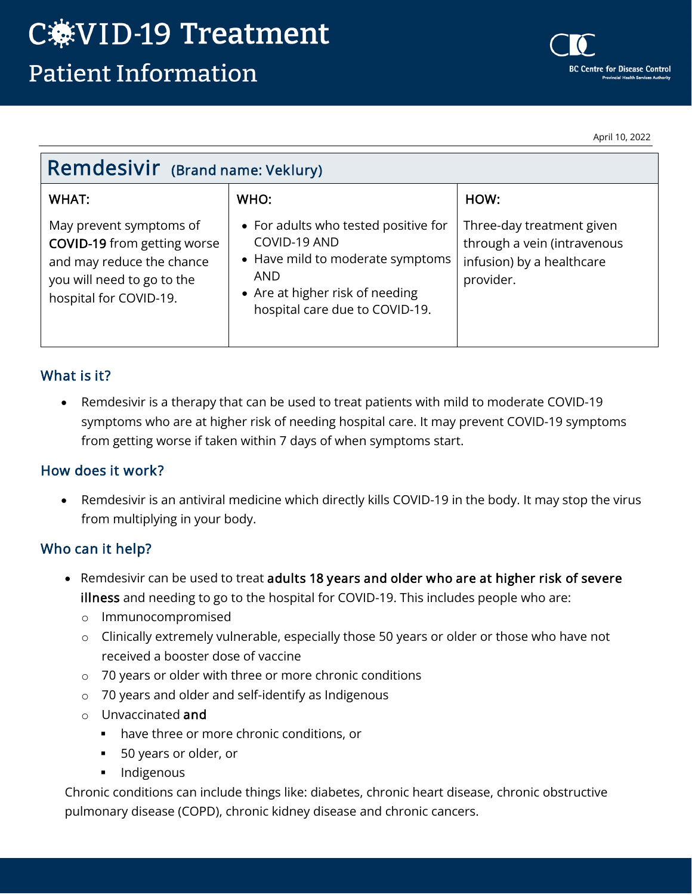April 10, 2022

| <b>Remdesivir</b> (Brand name: Veklury)                                                                                                            |                                                                                                                                                                             |                                                                                                    |
|----------------------------------------------------------------------------------------------------------------------------------------------------|-----------------------------------------------------------------------------------------------------------------------------------------------------------------------------|----------------------------------------------------------------------------------------------------|
| WHAT:                                                                                                                                              | WHO:                                                                                                                                                                        | HOW:                                                                                               |
| May prevent symptoms of<br><b>COVID-19</b> from getting worse<br>and may reduce the chance<br>you will need to go to the<br>hospital for COVID-19. | • For adults who tested positive for<br>COVID-19 AND<br>• Have mild to moderate symptoms<br><b>AND</b><br>• Are at higher risk of needing<br>hospital care due to COVID-19. | Three-day treatment given<br>through a vein (intravenous<br>infusion) by a healthcare<br>provider. |

### What is it?

• Remdesivir is a therapy that can be used to treat patients with mild to moderate COVID-19 symptoms who are at higher risk of needing hospital care. It may prevent COVID-19 symptoms from getting worse if taken within 7 days of when symptoms start.

### How does it work?

• Remdesivir is an antiviral medicine which directly kills COVID-19 in the body. It may stop the virus from multiplying in your body.

### Who can it help?

- Remdesivir can be used to treat adults 18 years and older who are at higher risk of severe illness and needing to go to the hospital for COVID-19. This includes people who are:
	- o Immunocompromised
	- o Clinically extremely vulnerable, especially those 50 years or older or those who have not received a booster dose of vaccine
	- o 70 years or older with three or more chronic conditions
	- o 70 years and older and self-identify as Indigenous
	- o Unvaccinated and
		- have three or more chronic conditions, or
		- 50 years or older, or
		- **Indigenous**

Chronic conditions can include things like: diabetes, chronic heart disease, chronic obstructive pulmonary disease (COPD), chronic kidney disease and chronic cancers.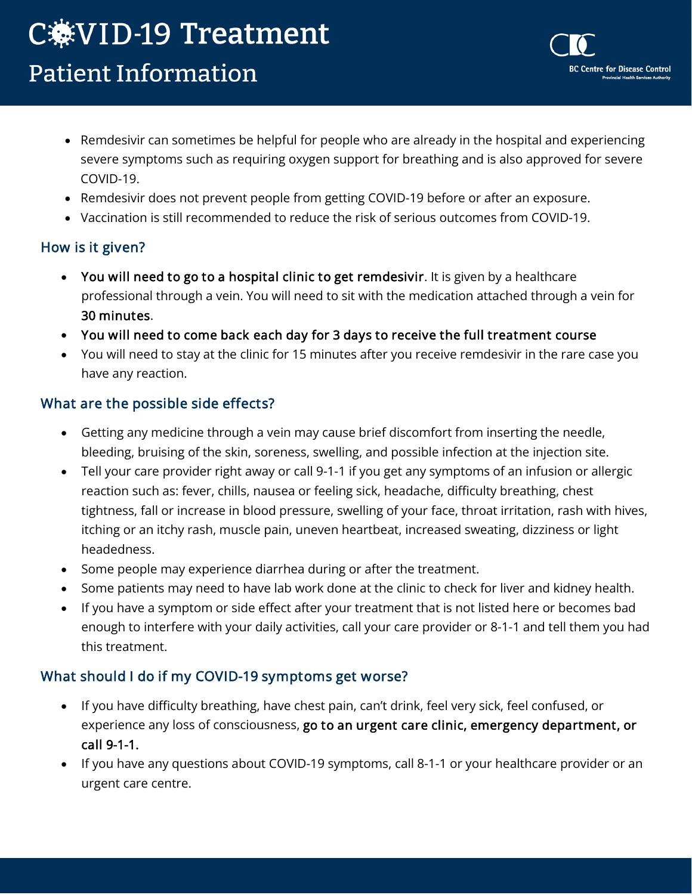# C.WWW.D-19 Treatment **Patient Information**

• Remdesivir can sometimes be helpful for people who are already in the hospital and experiencing severe symptoms such as requiring oxygen support for breathing and is also approved for severe COVID-19.

**BC Centre for Disease Control** 

- Remdesivir does not prevent people from getting COVID-19 before or after an exposure.
- Vaccination is still recommended to reduce the risk of serious outcomes from COVID-19.

## How is it given?

- You will need to go to a hospital clinic to get remdesivir. It is given by a healthcare professional through a vein. You will need to sit with the medication attached through a vein for 30 minutes.
- You will need to come back each day for 3 days to receive the full treatment course
- You will need to stay at the clinic for 15 minutes after you receive remdesivir in the rare case you have any reaction.

## What are the possible side effects?

- Getting any medicine through a vein may cause brief discomfort from inserting the needle, bleeding, bruising of the skin, soreness, swelling, and possible infection at the injection site.
- Tell your care provider right away or call 9-1-1 if you get any symptoms of an infusion or allergic reaction such as: fever, chills, nausea or feeling sick, headache, difficulty breathing, chest tightness, fall or increase in blood pressure, swelling of your face, throat irritation, rash with hives, itching or an itchy rash, muscle pain, uneven heartbeat, increased sweating, dizziness or light headedness.
- Some people may experience diarrhea during or after the treatment.
- Some patients may need to have lab work done at the clinic to check for liver and kidney health.
- If you have a symptom or side effect after your treatment that is not listed here or becomes bad enough to interfere with your daily activities, call your care provider or 8-1-1 and tell them you had this treatment.

## What should I do if my COVID-19 symptoms get worse?

- If you have difficulty breathing, have chest pain, can't drink, feel very sick, feel confused, or experience any loss of consciousness, go to an urgent care clinic, emergency department, or call 9-1-1.
- If you have any questions about COVID-19 symptoms, call 8-1-1 or your healthcare provider or an urgent care centre.